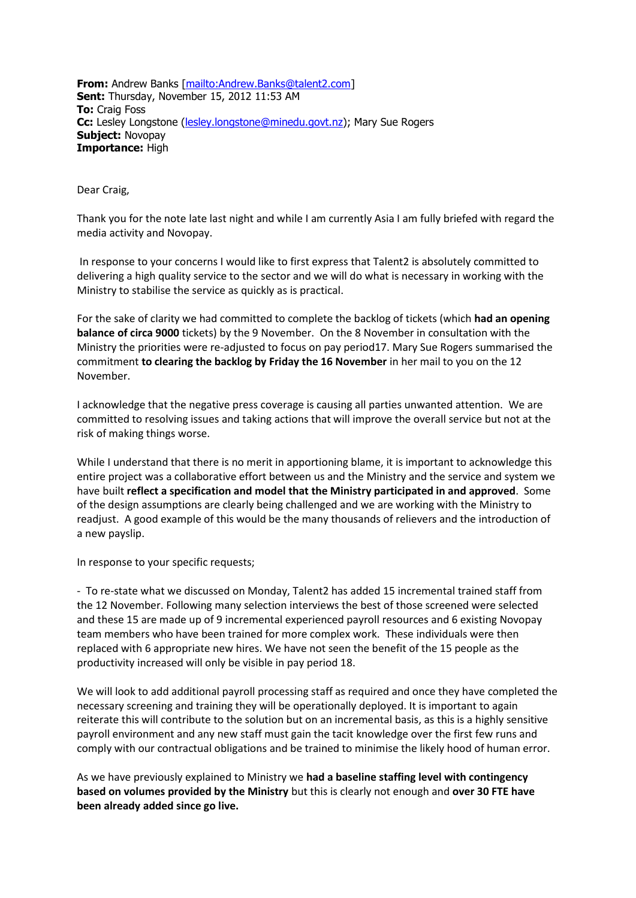**From:** Andrew Banks [\[mailto:Andrew.Banks@talent2.com\]](mailto:Andrew.Banks@talent2.com) **Sent:** Thursday, November 15, 2012 11:53 AM **To:** Craig Foss **Cc:** Lesley Longstone [\(lesley.longstone@minedu.govt.nz\)](mailto:lesley.longstone@minedu.govt.nz); Mary Sue Rogers **Subject:** Novopay **Importance:** High

Dear Craig,

Thank you for the note late last night and while I am currently Asia I am fully briefed with regard the media activity and Novopay.

In response to your concerns I would like to first express that Talent2 is absolutely committed to delivering a high quality service to the sector and we will do what is necessary in working with the Ministry to stabilise the service as quickly as is practical.

For the sake of clarity we had committed to complete the backlog of tickets (which **had an opening balance of circa 9000** tickets) by the 9 November. On the 8 November in consultation with the Ministry the priorities were re-adjusted to focus on pay period17. Mary Sue Rogers summarised the commitment **to clearing the backlog by Friday the 16 November** in her mail to you on the 12 November.

I acknowledge that the negative press coverage is causing all parties unwanted attention. We are committed to resolving issues and taking actions that will improve the overall service but not at the risk of making things worse.

While I understand that there is no merit in apportioning blame, it is important to acknowledge this entire project was a collaborative effort between us and the Ministry and the service and system we have built **reflect a specification and model that the Ministry participated in and approved**. Some of the design assumptions are clearly being challenged and we are working with the Ministry to readjust. A good example of this would be the many thousands of relievers and the introduction of a new payslip.

In response to your specific requests;

- To re-state what we discussed on Monday, Talent2 has added 15 incremental trained staff from the 12 November. Following many selection interviews the best of those screened were selected and these 15 are made up of 9 incremental experienced payroll resources and 6 existing Novopay team members who have been trained for more complex work. These individuals were then replaced with 6 appropriate new hires. We have not seen the benefit of the 15 people as the productivity increased will only be visible in pay period 18.

We will look to add additional payroll processing staff as required and once they have completed the necessary screening and training they will be operationally deployed. It is important to again reiterate this will contribute to the solution but on an incremental basis, as this is a highly sensitive payroll environment and any new staff must gain the tacit knowledge over the first few runs and comply with our contractual obligations and be trained to minimise the likely hood of human error.

As we have previously explained to Ministry we **had a baseline staffing level with contingency based on volumes provided by the Ministry** but this is clearly not enough and **over 30 FTE have been already added since go live.**